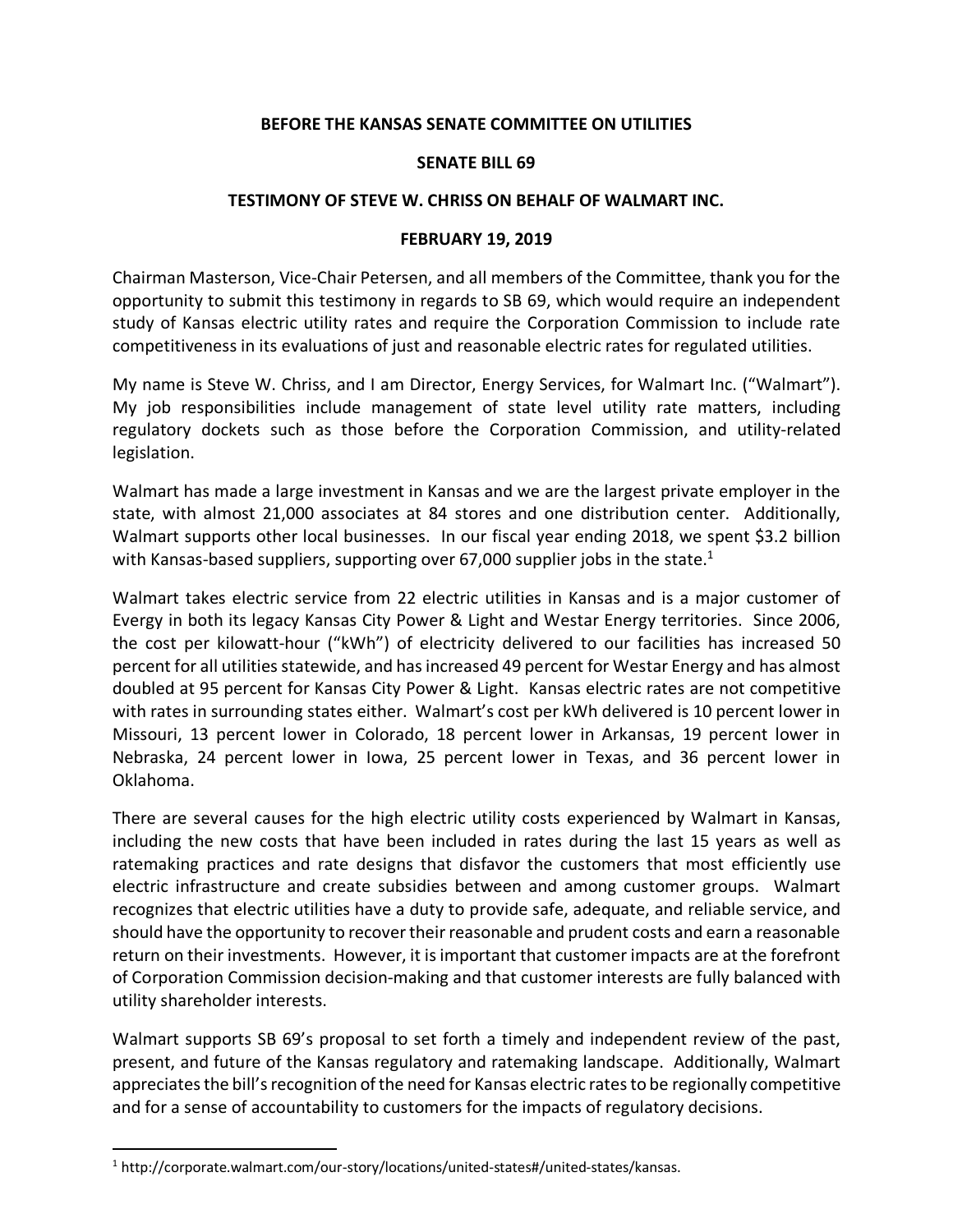## **BEFORE THE KANSAS SENATE COMMITTEE ON UTILITIES**

## **SENATE BILL 69**

## **TESTIMONY OF STEVE W. CHRISS ON BEHALF OF WALMART INC.**

## **FEBRUARY 19, 2019**

Chairman Masterson, Vice-Chair Petersen, and all members of the Committee, thank you for the opportunity to submit this testimony in regards to SB 69, which would require an independent study of Kansas electric utility rates and require the Corporation Commission to include rate competitiveness in its evaluations of just and reasonable electric rates for regulated utilities.

My name is Steve W. Chriss, and I am Director, Energy Services, for Walmart Inc. ("Walmart"). My job responsibilities include management of state level utility rate matters, including regulatory dockets such as those before the Corporation Commission, and utility-related legislation.

Walmart has made a large investment in Kansas and we are the largest private employer in the state, with almost 21,000 associates at 84 stores and one distribution center. Additionally, Walmart supports other local businesses. In our fiscal year ending 2018, we spent \$3.2 billion with Kansas-based suppliers, supporting over 67,000 supplier jobs in the state.<sup>1</sup>

Walmart takes electric service from 22 electric utilities in Kansas and is a major customer of Evergy in both its legacy Kansas City Power & Light and Westar Energy territories. Since 2006, the cost per kilowatt-hour ("kWh") of electricity delivered to our facilities has increased 50 percent for all utilities statewide, and has increased 49 percent for Westar Energy and has almost doubled at 95 percent for Kansas City Power & Light. Kansas electric rates are not competitive with rates in surrounding states either. Walmart's cost per kWh delivered is 10 percent lower in Missouri, 13 percent lower in Colorado, 18 percent lower in Arkansas, 19 percent lower in Nebraska, 24 percent lower in Iowa, 25 percent lower in Texas, and 36 percent lower in Oklahoma.

There are several causes for the high electric utility costs experienced by Walmart in Kansas, including the new costs that have been included in rates during the last 15 years as well as ratemaking practices and rate designs that disfavor the customers that most efficiently use electric infrastructure and create subsidies between and among customer groups. Walmart recognizes that electric utilities have a duty to provide safe, adequate, and reliable service, and should have the opportunity to recover their reasonable and prudent costs and earn a reasonable return on their investments. However, it is important that customer impacts are at the forefront of Corporation Commission decision-making and that customer interests are fully balanced with utility shareholder interests.

Walmart supports SB 69's proposal to set forth a timely and independent review of the past, present, and future of the Kansas regulatory and ratemaking landscape. Additionally, Walmart appreciates the bill's recognition of the need for Kansas electric rates to be regionally competitive and for a sense of accountability to customers for the impacts of regulatory decisions.

<sup>&</sup>lt;sup>1</sup> http://corporate.walmart.com/our-story/locations/united-states#/united-states/kansas.